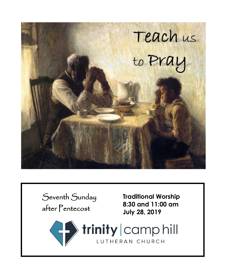

**COMPUTER** 

LUTHERAN CHURCH

Seventh Sunday after Pentecost

**Traditional Worship 8:30 and 11:00 am July 28, 2019**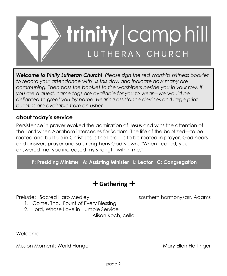

*Welcome to Trinity Lutheran Church! Please sign the red Worship Witness booklet to record your attendance with us this day, and indicate how many are communing. Then pass the booklet to the worshipers beside you in your row. If you are a guest, name tags are available for you to wear---we would be delighted to greet you by name. Hearing assistance devices and large print bulletins are available from an usher.*

# **about today's service**

Persistence in prayer evoked the admiration of Jesus and wins the attention of the Lord when Abraham intercedes for Sodom. The life of the baptized—to be rooted and built up in Christ Jesus the Lord—is to be rooted in prayer. God hears and answers prayer and so strengthens God's own. "When I called, you answered me; you increased my strength within me."

**P: Presiding Minister A: Assisting Minister L: Lector C: Congregation**

# + **Gathering** +

Prelude: "Sacred Harp Medley" southern harmony/arr. Adams

- 1. Come, Thou Fount of Every Blessing
- 2. Lord, Whose Love in Humble Service

Alison Koch, cello

Welcome

Mission Moment: World Hunger Mary Ellen Hettinger Mary Ellen Hettinger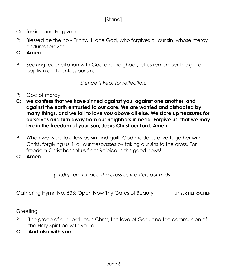# [Stand]

Confession and Forgiveness

- P: Blessed be the holy Trinity,  $\pm$  one God, who forgives all our sin, whose mercy endures forever.
- **C: Amen.**
- P: Seeking reconciliation with God and neighbor, let us remember the gift of baptism and confess our sin.

*Silence is kept for reflection.*

- P: God of mercy,
- **C: we confess that we have sinned against you, against one another, and against the earth entrusted to our care. We are worried and distracted by many things, and we fail to love you above all else. We store up treasures for ourselves and turn away from our neighbors in need. Forgive us, that we may live in the freedom of your Son, Jesus Christ our Lord. Amen.**
- P: When we were laid low by sin and guilt, God made us alive together with Christ, forgiving us + all our trespasses by taking our sins to the cross. For freedom Christ has set us free: Rejoice in this good news!
- **C: Amen.**

*(11:00) Turn to face the cross as it enters our midst.*

Gathering Hymn No. 533: Open Now Thy Gates of Beauty UNSER HERRSCHER

**Greeting** 

- P: The grace of our Lord Jesus Christ, the love of God, and the communion of the Holy Spirit be with you all.
- **C: And also with you.**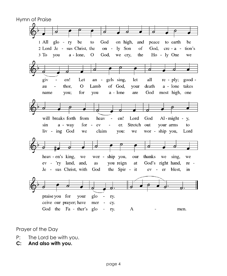Hymn of Praise ಕ  $1$  All glo on high, ry be to God and peace to earth be 2 Lord Je - sus Christ, the on -  $ly$ tion's Son of God,  $cre - a 3$  To  $\,$ you  $a - l$ one,  $\overline{O}$ God, we cry, the Ho - ly One we ರ giv en! Let gels sing, let all  $re - ply;$ good  $an$ au thor.  $\overline{O}$ Lamb of God. your death a - lone takes you; for you a - lone are God most high, one name will breaks forth  $Al$ -might - y, from heav en! Lord God  $\blacksquare$ a - way for  $\sim$ Stretch out sin ev  $\overline{a}$ er. your arms to liv - ing God we claim you: we wor - ship you, Lord wor - ship you, heav - en's king, we our thanks we sing, we ev - 'ry land, and, you reign God's right hand, as at re -Je - sus Christ, with God the Spir - it ev - er blest. in praise you for your glo ry. ceive our prayer; have mer cy. God the Fa - ther's glo  $\mathbf{A}$  $\overline{a}$ ry. men.

#### Prayer of the Day

- P: The Lord be with you.
- **C: And also with you.**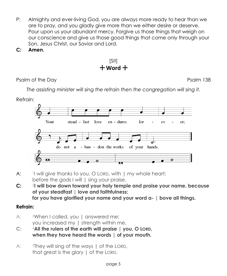- P: Almighty and ever-living God, you are always more ready to hear than we are to pray, and you gladly give more than we either desire or deserve. Pour upon us your abundant mercy. Forgive us those things that weigh on our conscience and give us those good things that come only through your Son, Jesus Christ, our Savior and Lord.
- **C: Amen.**

[Sit] + **Word** +

Psalm of the Day Psalm 138

*The assisting minister will sing the refrain then the congregation will sing it.*

Refrain:



- $A^{\dagger}$ I will give thanks to you, O LORD, with I my whole heart; before the gods I will I sing your praise.
- $C:$ <sup>2</sup> I will bow down toward your holy temple and praise your name, because **of your steadfast | love and faithfulness; for you have glorified your name and your word a- | bove all things.**

# **Refrain:**

- A: <sup>3</sup>When I called, you | answered me; you increased my | strength within me.
- **C:** <sup>4</sup>**All the rulers of the earth will praise | you, O LORD, when they have heard the words | of your mouth.**
- A: 5They will sing of the ways I of the LORD, that great is the glory | of the LORD.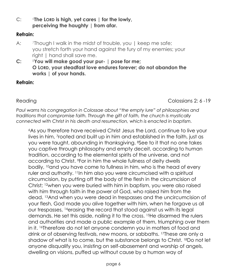**C:** <sup>6</sup>**The LORD is high, yet cares | for the lowly, perceiving the haughty | from afar.**

### **Refrain:**

- A: Though I walk in the midst of trouble, you I keep me safe; you stretch forth your hand against the fury of my enemies; your right | hand shall save me.
- **C:** <sup>8</sup>**You will make good your pur- | pose for me; O LORD, your steadfast love endures forever; do not abandon the works | of your hands.**

### **Refrain:**

Reading **Colossians 2: 6-19** 

*Paul warns his congregation in Colossae about "the empty lure" of philosophies and traditions that compromise faith. Through the gift of faith, the church is mystically connected with Christ in his death and resurrection, which is enacted in baptism.*

<sup>6</sup>As you therefore have received Christ Jesus the Lord, continue to live your lives in him, <sup>7</sup> rooted and built up in him and established in the faith, just as you were taught, abounding in thanksgiving. <sup>8</sup>See to it that no one takes you captive through philosophy and empty deceit, according to human tradition, according to the elemental spirits of the universe, and not according to Christ. <sup>9</sup>For in him the whole fullness of deity dwells bodily, <sup>10</sup>and you have come to fullness in him, who is the head of every ruler and authority. <sup>11</sup>In him also you were circumcised with a spiritual circumcision, by putting off the body of the flesh in the circumcision of Christ; <sup>12</sup>when you were buried with him in baptism, you were also raised with him through faith in the power of God, who raised him from the dead. <sup>13</sup>And when you were dead in trespasses and the uncircumcision of your flesh, God made you alive together with him, when he forgave us all our trespasses, <sup>14</sup>erasing the record that stood against us with its legal demands. He set this aside, nailing it to the cross. <sup>15</sup>He disarmed the rulers and authorities and made a public example of them, triumphing over them in it. 16Therefore do not let anyone condemn you in matters of food and drink or of observing festivals, new moons, or sabbaths. <sup>17</sup>These are only a shadow of what is to come, but the substance belongs to Christ. <sup>18</sup>Do not let anyone disqualify you, insisting on self-abasement and worship of angels, dwelling on visions, puffed up without cause by a human way of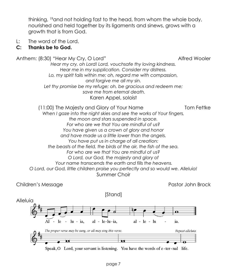thinking, <sup>19</sup>and not holding fast to the head, from whom the whole body, nourished and held together by its ligaments and sinews, grows with a growth that is from God.

L: The word of the Lord.

# **C: Thanks be to God.**

Anthem: (8:30) "Hear My Cry, O Lord" Alfred Wooler *Hear my cry, oh Lord! Lord, vouchsafe thy loving kindness. Hear me in my supplication. Consider my distress. Lo, my spirit fails within me; oh, regard me with compassion, and forgive me all my sin. Let thy promise be my refuge; oh, be gracious and redeem me; save me from eternal death.* Karen Appel, soloist

(11:00) The Majesty and Glory of Your Name Tom Fettke *When I gaze into the night skies and see the works of Your fingers, the moon and stars suspended in space. For who are we that You are mindful of us? You have given us a crown of glory and honor and have made us a little lower than the angels. You have put us in charge of all creation: the beasts of the field, the birds of the air, the fish of the sea. For who are we that You are mindful of us? O Lord, our God, the majesty and glory of Your name transcends the earth and fills the heavens. O Lord, our God, little children praise you perfectly and so would we. Alleluia!* Summer Choir

Children's Message Pastor John Brock (Pastor John Brock)

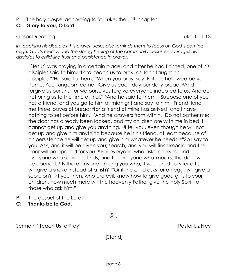P: The holy gospel according to St. Luke, the  $11<sup>th</sup>$  chapter.

# **C: Glory to you, O Lord.**

#### Gospel Reading Luke 11:1-13

*In teaching his disciples this prayer, Jesus also reminds them to focus on God's coming reign, God's mercy, and the strengthening of the community. Jesus encourages his disciples to child-like trust and persistence in prayer.*

1 [Jesus] was praying in a certain place, and after he had finished, one of his disciples said to him, "Lord, teach us to pray, as John taught his disciples."2He said to them, "When you pray, say: Father, hallowed be your name. Your kingdom come. <sup>3</sup>Give us each day our daily bread. <sup>4</sup>And forgive us our sins, for we ourselves forgive everyone indebted to us. And do not bring us to the time of trial." <sup>5</sup>And he said to them, "Suppose one of you has a friend, and you go to him at midnight and say to him, 'Friend, lend me three loaves of bread; <sup>6</sup> for a friend of mine has arrived, and I have nothing to set before him.' <sup>7</sup>And he answers from within, 'Do not bother me; the door has already been locked, and my children are with me in bed; I cannot get up and give you anything.' <sup>8</sup> I tell you, even though he will not get up and give him anything because he is his friend, at least because of his persistence he will get up and give him whatever he needs. <sup>9"</sup>So I say to you, Ask, and it will be given you; search, and you will find; knock, and the door will be opened for you. <sup>10</sup>For everyone who asks receives, and everyone who searches finds, and for everyone who knocks, the door will be opened. <sup>11</sup>Is there anyone among you who, if your child asks for a fish, will give a snake instead of a fish? <sup>12</sup>Or if the child asks for an egg, will give a scorpion? <sup>13</sup>If you then, who are evil, know how to give good gifts to your children, how much more will the heavenly Father give the Holy Spirit to those who ask him!"

- P: The gospel of the Lord.
- **C: Thanks be to God.**

[Sit]

Sermon: "Teach Us to Pray" extending the Sermon: "Teach Us to Pray"

[Stand]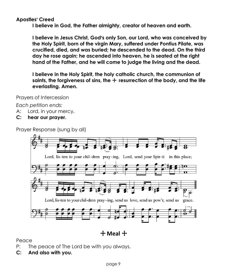### **Apostles**= **Creed**

**I believe in God, the Father almighty, creator of heaven and earth.**

**I believe in Jesus Christ, God's only Son, our Lord, who was conceived by the Holy Spirit, born of the virgin Mary, suffered under Pontius Pilate, was crucified, died, and was buried; he descended to the dead. On the third day he rose again; he ascended into heaven, he is seated at the right hand of the Father, and he will come to judge the living and the dead.**

**I believe in the Holy Spirit, the holy catholic church, the communion of**  saints, the forgiveness of sins, the  $+$  resurrection of the body, and the life **everlasting. Amen.**

Prayers of Intercession

*Each petition ends:*

- A: Lord, in your mercy,
- **C: hear our prayer.**

Prayer Response (sung by all)



+ **Meal** +

Peace

- P: The peace of The Lord be with you always.
- **C: And also with you.**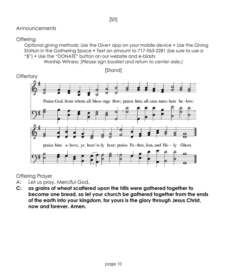#### Announcements

#### **Offering**

Optional giving methods: Use the Give+ app on your mobile device • Use the Giving Station in the Gathering Space • Text an amount to 717-963-2281 (be sure to use a "\$") • Use the "DONATE" button on our website and e-blasts

Worship Witness: *(Please sign booklet and return to center aisle.)*



Offering Prayer

- A: Let us pray. Merciful God,
- **C: as grains of wheat scattered upon the hills were gathered together to become one bread, so let your church be gathered together from the ends of the earth into your kingdom, for yours is the glory through Jesus Christ, now and forever. Amen.**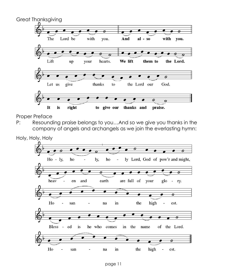

Proper Preface

P: Resounding praise belongs to you…And so we give you thanks in the company of angels and archangels as we join the everlasting hymn:

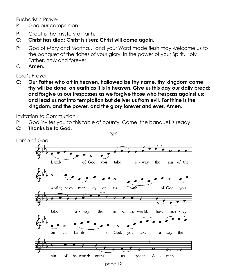Eucharistic Prayer

- P: God our companion …
- P: Great is the mystery of faith.
- **C: Christ has died; Christ is risen; Christ will come again.**
- P: God of Mary and Martha… and your Word made flesh may welcome us to the banquet of the riches of your glory, in the power of your Spirit, Holy Father, now and forever.
- C: **Amen.**

Lord's Prayer

**C: Our Father who art in heaven, hallowed be thy name, thy kingdom come, thy will be done, on earth as it is in heaven. Give us this day our daily bread; and forgive us our trespasses as we forgive those who trespass against us; and lead us not into temptation but deliver us from evil. For thine is the kingdom, and the power, and the glory forever and ever. Amen.**

Invitation to Communion

- P: God invites you to this table of bounty. Come, the banquet is ready.
- **C: Thanks be to God.**

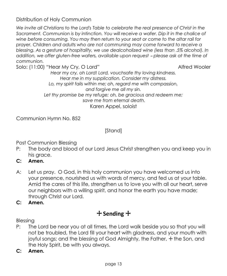Distribution of Holy Communion

*We invite all Christians to the Lord's Table to celebrate the real presence of Christ in the*  Sacrament. Communion is by intinction. You will receive a wafer. Dip it in the chalice of *wine before consuming. You may then return to your seat or come to the altar rail for prayer. Children and adults who are not communing may come forward to receive a blessing. As a gesture of hospitality, we use dealcoholized wine (less than .5% alcohol). In addition, we offer gluten-free wafers, available upon request - please ask at the time of communion.* 

Solo: (11:00) "Hear My Cry, O Lord" Alfred Wooler

*Hear my cry, oh Lord! Lord, vouchsafe thy loving kindness. Hear me in my supplication. Consider my distress. Lo, my spirit fails within me; oh, regard me with compassion, and forgive me all my sin. Let thy promise be my refuge; oh, be gracious and redeem me; save me from eternal death.* Karen Appel, soloist

Communion Hymn No. 852

[Stand]

Post Communion Blessing

- P: The body and blood of our Lord Jesus Christ strengthen you and keep you in his grace.
- **C: Amen.**
- A: Let us pray. O God, in this holy communion you have welcomed us into your presence, nourished us with words of mercy, and fed us at your table. Amid the cares of this life, strengthen us to love you with all our heart, serve our neighbors with a willing spirit, and honor the earth you have made; through Christ our Lord.

**C: Amen.**

# + **Sending** +

Blessing

- P: The Lord be near you at all times, the Lord walk beside you so that you will not be troubled, the Lord fill your heart with gladness, and your mouth with joyful songs; and the blessing of God Almighty, the Father, + the Son, and the Holy Spirit, be with you always.
- **C: Amen.**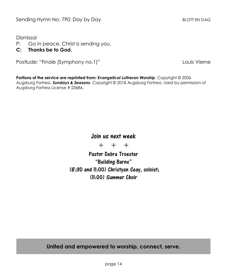Dismissal

- P: Go in peace. Christ is sending you.
- **C: Thanks be to God.**

Postlude: "Finale (Symphony no.1)" 
Louis Vierne

**Portions of the service are reprinted from:** *Evangelical Lutheran Worship*, Copyright © 2006 Augsburg Fortress. *Sundays & Seasons*, Copyright © 2018 Augsburg Fortress. Used by permission of Augsburg Fortress License # 23686.

# Join us next week

+ + +

Pastor Debra Troester "Building Barns" (8:30 and 11:00) Christyan Seay, soloist; (11:00) Summer Choir

**United and empowered to worship, connect, serve.**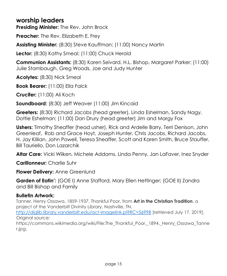# **worship leaders**

**Presiding Minister:** The Rev. John Brock

**Preacher:** The Rev. Elizabeth E. Frey

**Assisting Minister:** (8:30) Steve Kauffman; (11:00) Nancy Martin

Lector: (8:30) Kathy Smeal; (11:00) Chuck Herold

**Communion Assistants:** (8:30) Karen Seivard, H.L. Bishop, Margaret Parker; (11:00) Julie Stambaugh, Greg Woods, Joe and Judy Hunter

**Acolytes:** (8:30) Nick Smeal

**Book Bearer:** (11:00) Ella Falck

**Crucifer:** (11:00) Ali Koch

**Soundboard:** (8:30) Jeff Weaver (11:00) Jim Kincaid

**Greeters:** (8:30) Richard Jacobs (head greeter), Linda Eshelman, Sandy Nagy, Dottie Eshelman; (11:00) Dan Drury (head greeter) Jim and Margy Fox

**Ushers:** Timothy Sheaffer (head usher), Rick and Ardelle Barry, Terri Denison, John Greenleaf, Rob and Grace Hoyt, Joseph Hunter, Chris Jacobs, Richard Jacobs, H. Jay Killian, John Powell, Teresa Sheaffer, Scott and Karen Smith, Bruce Stauffer, Bill Tauriello, Don Lazarchik

**Altar Care:** Vicki Wliken, Michele Addams, Linda Penny, Jan LaFaver, Inez Snyder

**Carillonneur:** Charlie Suhr

**Flower Delivery:** Anne Greenlund

**Garden of Eatin':** (GOE I) Anne Stafford, Mary Ellen Hettinger; (GOE II) Zandra and Bill Bishop and Family

## **Bulletin Artwork:**

Tanner, Henry Ossawa, 1859-1937. Thankful Poor, from **Art in the Christian Tradition**, a project of the Vanderbilt Divinity Library, Nashville, TN.

<http://diglib.library.vanderbilt.edu/act-imagelink.pl?RC=56998> [retrieved July 17, 2019]. Original source:

https://commons.wikimedia.org/wiki/File:The Thankful Poor, 1894. Henry Ossawa Tanne r.jpg.